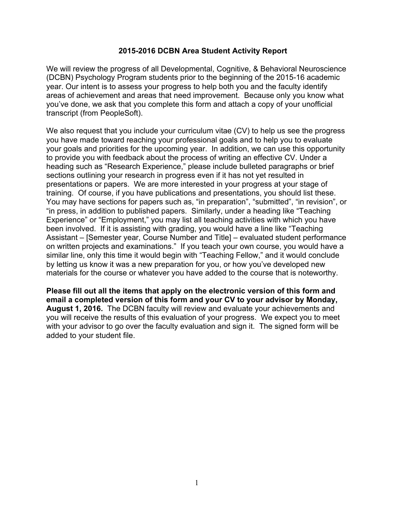## **2015-2016 DCBN Area Student Activity Report**

We will review the progress of all Developmental, Cognitive, & Behavioral Neuroscience (DCBN) Psychology Program students prior to the beginning of the 2015-16 academic year. Our intent is to assess your progress to help both you and the faculty identify areas of achievement and areas that need improvement. Because only you know what you've done, we ask that you complete this form and attach a copy of your unofficial transcript (from PeopleSoft).

We also request that you include your curriculum vitae (CV) to help us see the progress you have made toward reaching your professional goals and to help you to evaluate your goals and priorities for the upcoming year. In addition, we can use this opportunity to provide you with feedback about the process of writing an effective CV. Under a heading such as "Research Experience," please include bulleted paragraphs or brief sections outlining your research in progress even if it has not yet resulted in presentations or papers. We are more interested in your progress at your stage of training. Of course, if you have publications and presentations, you should list these. You may have sections for papers such as, "in preparation", "submitted", "in revision", or "in press, in addition to published papers. Similarly, under a heading like "Teaching Experience" or "Employment," you may list all teaching activities with which you have been involved. If it is assisting with grading, you would have a line like "Teaching Assistant – [Semester year, Course Number and Title] – evaluated student performance on written projects and examinations." If you teach your own course, you would have a similar line, only this time it would begin with "Teaching Fellow," and it would conclude by letting us know it was a new preparation for you, or how you've developed new materials for the course or whatever you have added to the course that is noteworthy.

**Please fill out all the items that apply on the electronic version of this form and email a completed version of this form and your CV to your advisor by Monday, August 1, 2016.** The DCBN faculty will review and evaluate your achievements and you will receive the results of this evaluation of your progress. We expect you to meet with your advisor to go over the faculty evaluation and sign it. The signed form will be added to your student file.